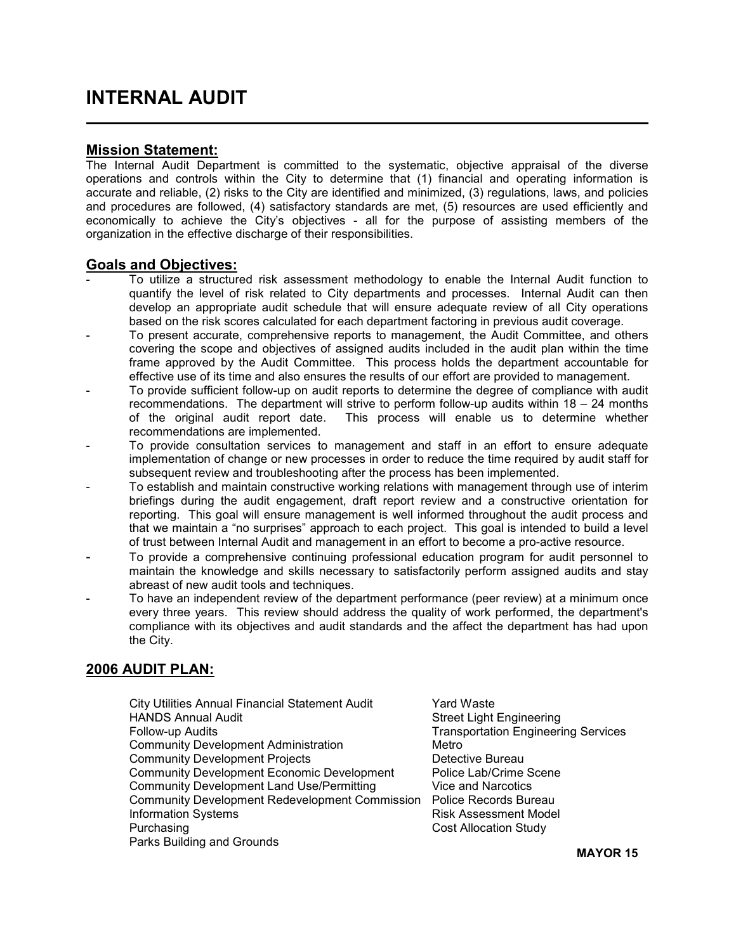## Mission Statement:

The Internal Audit Department is committed to the systematic, objective appraisal of the diverse operations and controls within the City to determine that (1) financial and operating information is accurate and reliable, (2) risks to the City are identified and minimized, (3) regulations, laws, and policies and procedures are followed, (4) satisfactory standards are met, (5) resources are used efficiently and economically to achieve the City's objectives - all for the purpose of assisting members of the organization in the effective discharge of their responsibilities.

## Goals and Objectives:

- To utilize a structured risk assessment methodology to enable the Internal Audit function to quantify the level of risk related to City departments and processes. Internal Audit can then develop an appropriate audit schedule that will ensure adequate review of all City operations based on the risk scores calculated for each department factoring in previous audit coverage.
- To present accurate, comprehensive reports to management, the Audit Committee, and others covering the scope and objectives of assigned audits included in the audit plan within the time frame approved by the Audit Committee. This process holds the department accountable for effective use of its time and also ensures the results of our effort are provided to management.
- To provide sufficient follow-up on audit reports to determine the degree of compliance with audit recommendations. The department will strive to perform follow-up audits within 18 – 24 months of the original audit report date. This process will enable us to determine whether recommendations are implemented.
- To provide consultation services to management and staff in an effort to ensure adequate implementation of change or new processes in order to reduce the time required by audit staff for subsequent review and troubleshooting after the process has been implemented.
- To establish and maintain constructive working relations with management through use of interim briefings during the audit engagement, draft report review and a constructive orientation for reporting. This goal will ensure management is well informed throughout the audit process and that we maintain a "no surprises" approach to each project. This goal is intended to build a level of trust between Internal Audit and management in an effort to become a pro-active resource.
- To provide a comprehensive continuing professional education program for audit personnel to maintain the knowledge and skills necessary to satisfactorily perform assigned audits and stay abreast of new audit tools and techniques.
- To have an independent review of the department performance (peer review) at a minimum once every three years. This review should address the quality of work performed, the department's compliance with its objectives and audit standards and the affect the department has had upon the City.

# 2006 AUDIT PLAN:

- City Utilities Annual Financial Statement Audit Yard Waste HANDS Annual Audit Street Light Engineering Follow-up Audits Transportation Engineering Services Community Development Administration Metro Community Development Projects **Detective Bureau** Community Development Economic Development Police Lab/Crime Scene Community Development Land Use/Permitting Vice and Narcotics Community Development Redevelopment Commission Police Records Bureau Information Systems **Risk Assessment Model Risk Assessment Model** Purchasing **Cost Allocation Study Cost Allocation Study** Parks Building and Grounds
-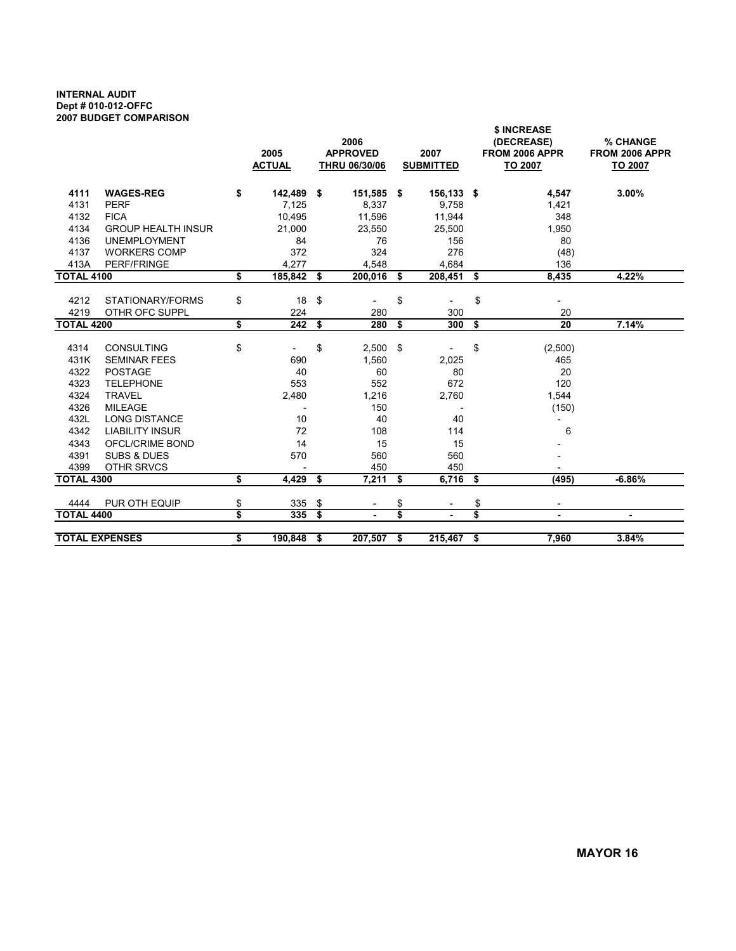#### INTERNAL AUDIT Dept # 010-012-OFFC 2007 BUDGET COMPARISON

|                       |                           | 2005<br><b>ACTUAL</b> |      | 2006<br><b>APPROVED</b><br>THRU 06/30/06 |     | 2007<br><b>SUBMITTED</b> | \$ INCREASE<br>(DECREASE)<br>FROM 2006 APPR<br>TO 2007 | % CHANGE<br>FROM 2006 APPR<br>TO 2007 |  |  |
|-----------------------|---------------------------|-----------------------|------|------------------------------------------|-----|--------------------------|--------------------------------------------------------|---------------------------------------|--|--|
| 4111                  | <b>WAGES-REG</b>          | \$<br>142,489         | -S   | 151,585 \$                               |     | 156,133 \$               | 4,547                                                  | 3.00%                                 |  |  |
| 4131                  | <b>PERF</b>               | 7,125                 |      | 8,337                                    |     | 9,758                    | 1,421                                                  |                                       |  |  |
| 4132                  | <b>FICA</b>               | 10,495                |      | 11,596                                   |     | 11,944                   | 348                                                    |                                       |  |  |
| 4134                  | <b>GROUP HEALTH INSUR</b> | 21,000                |      | 23,550                                   |     | 25,500                   | 1,950                                                  |                                       |  |  |
| 4136                  | <b>UNEMPLOYMENT</b>       | 84                    |      | 76                                       |     | 156                      | 80                                                     |                                       |  |  |
| 4137                  | <b>WORKERS COMP</b>       | 372                   |      | 324                                      |     | 276                      | (48)                                                   |                                       |  |  |
| 413A                  | PERF/FRINGE               | 4.277                 |      | 4,548                                    |     | 4,684                    | 136                                                    |                                       |  |  |
| <b>TOTAL 4100</b>     |                           | \$<br>185,842         | - \$ | 200,016                                  | \$  | 208,451                  | \$<br>8,435                                            | 4.22%                                 |  |  |
|                       |                           |                       |      |                                          |     |                          |                                                        |                                       |  |  |
| 4212                  | STATIONARY/FORMS          | \$<br>18              | \$   | $\overline{a}$                           | \$  | $\overline{a}$           | \$                                                     |                                       |  |  |
| 4219                  | OTHR OFC SUPPL            | 224                   |      | 280                                      |     | 300                      | 20                                                     |                                       |  |  |
| <b>TOTAL 4200</b>     |                           | \$<br>242             | - \$ | 280                                      | \$  | 300                      | \$<br>20                                               | 7.14%                                 |  |  |
|                       |                           |                       |      |                                          |     |                          |                                                        |                                       |  |  |
| 4314                  | CONSULTING                | \$<br>$\overline{a}$  | \$   | 2,500                                    | -\$ |                          | \$<br>(2,500)                                          |                                       |  |  |
| 431K                  | <b>SEMINAR FEES</b>       | 690                   |      | 1,560                                    |     | 2,025                    | 465                                                    |                                       |  |  |
| 4322                  | <b>POSTAGE</b>            | 40                    |      | 60                                       |     | 80                       | 20                                                     |                                       |  |  |
| 4323                  | <b>TELEPHONE</b>          | 553                   |      | 552                                      |     | 672                      | 120                                                    |                                       |  |  |
| 4324                  | <b>TRAVEL</b>             | 2,480                 |      | 1,216                                    |     | 2,760                    | 1,544                                                  |                                       |  |  |
| 4326                  | <b>MILEAGE</b>            |                       |      | 150                                      |     | $\overline{\phantom{a}}$ | (150)                                                  |                                       |  |  |
| 432L                  | <b>LONG DISTANCE</b>      | 10                    |      | 40                                       |     | 40                       | $\overline{\phantom{a}}$                               |                                       |  |  |
| 4342                  | <b>LIABILITY INSUR</b>    | 72                    |      | 108                                      |     | 114                      | 6                                                      |                                       |  |  |
| 4343                  | OFCL/CRIME BOND           | 14                    |      | 15                                       |     | 15                       |                                                        |                                       |  |  |
| 4391                  | <b>SUBS &amp; DUES</b>    | 570                   |      | 560                                      |     | 560                      |                                                        |                                       |  |  |
| 4399                  | OTHR SRVCS                |                       |      | 450                                      |     | 450                      |                                                        |                                       |  |  |
| <b>TOTAL 4300</b>     |                           | \$<br>4.429           | \$   | 7,211                                    | \$  | 6,716                    | \$<br>(495)                                            | $-6.86%$                              |  |  |
| 4444                  | PUR OTH EQUIP             | \$<br>335             | \$   | $\overline{\phantom{a}}$                 | \$  | $\overline{\phantom{a}}$ | \$<br>$\overline{\phantom{a}}$                         |                                       |  |  |
| <b>TOTAL 4400</b>     |                           | \$<br>335             | \$   |                                          | \$  |                          | \$<br>$\blacksquare$                                   | $\blacksquare$                        |  |  |
| <b>TOTAL EXPENSES</b> |                           | \$<br>190,848         |      | 207,507                                  | \$  | 215,467                  | \$<br>7,960                                            | 3.84%                                 |  |  |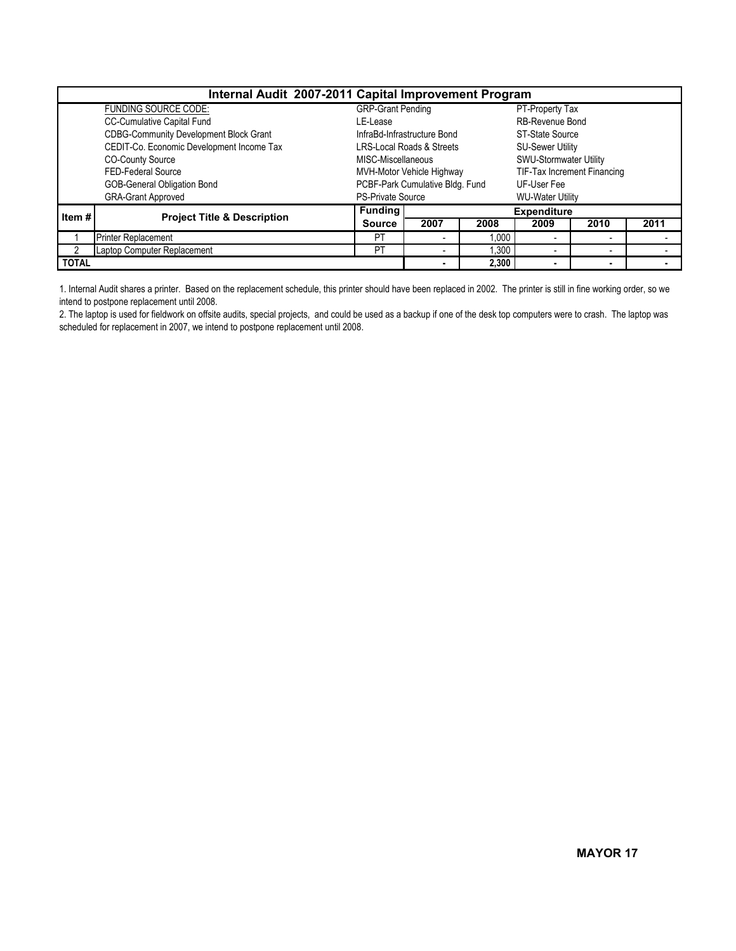| Internal Audit 2007-2011 Capital Improvement Program |                                               |                          |                                      |                    |                             |                          |      |  |  |  |  |  |
|------------------------------------------------------|-----------------------------------------------|--------------------------|--------------------------------------|--------------------|-----------------------------|--------------------------|------|--|--|--|--|--|
|                                                      | <b>FUNDING SOURCE CODE:</b>                   | <b>GRP-Grant Pending</b> |                                      |                    | PT-Property Tax             |                          |      |  |  |  |  |  |
|                                                      | CC-Cumulative Capital Fund                    | LE-Lease                 |                                      |                    | RB-Revenue Bond             |                          |      |  |  |  |  |  |
|                                                      | <b>CDBG-Community Development Block Grant</b> |                          | InfraBd-Infrastructure Bond          |                    | ST-State Source             |                          |      |  |  |  |  |  |
|                                                      | CEDIT-Co. Economic Development Income Tax     |                          | <b>LRS-Local Roads &amp; Streets</b> |                    | <b>SU-Sewer Utility</b>     |                          |      |  |  |  |  |  |
|                                                      | <b>CO-County Source</b>                       | MISC-Miscellaneous       |                                      |                    | SWU-Stormwater Utility      |                          |      |  |  |  |  |  |
|                                                      | FED-Federal Source                            |                          | MVH-Motor Vehicle Highway            |                    | TIF-Tax Increment Financing |                          |      |  |  |  |  |  |
|                                                      | GOB-General Obligation Bond                   |                          | PCBF-Park Cumulative Bldg. Fund      |                    | UF-User Fee                 |                          |      |  |  |  |  |  |
|                                                      | <b>GRA-Grant Approved</b>                     | <b>PS-Private Source</b> |                                      |                    | <b>WU-Water Utility</b>     |                          |      |  |  |  |  |  |
| Item#                                                | <b>Project Title &amp; Description</b>        | <b>Funding</b>           |                                      | <b>Expenditure</b> |                             |                          |      |  |  |  |  |  |
|                                                      |                                               | <b>Source</b>            | 2007                                 | 2008               | 2009                        | 2010                     | 2011 |  |  |  |  |  |
|                                                      | <b>Printer Replacement</b>                    | PT                       |                                      | 1.000              |                             | $\overline{\phantom{a}}$ |      |  |  |  |  |  |
|                                                      | Laptop Computer Replacement                   | PT                       | 1,300<br>۰                           |                    |                             | $\overline{\phantom{a}}$ |      |  |  |  |  |  |
| <b>TOTAL</b>                                         |                                               |                          |                                      | 2,300              |                             |                          |      |  |  |  |  |  |

1. Internal Audit shares a printer. Based on the replacement schedule, this printer should have been replaced in 2002. The printer is still in fine working order, so we intend to postpone replacement until 2008.

2. The laptop is used for fieldwork on offsite audits, special projects, and could be used as a backup if one of the desk top computers were to crash. The laptop was scheduled for replacement in 2007, we intend to postpone replacement until 2008.